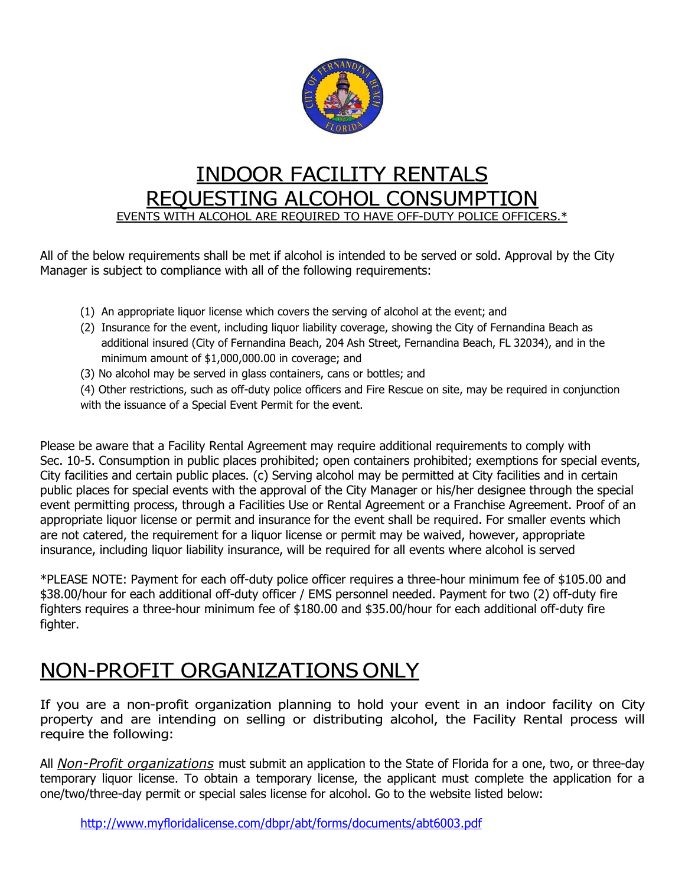

## INDOOR FACILITY RENTALS REQUESTING ALCOHOL CONSUMPTION EVENTS WITH ALCOHOL ARE REQUIRED TO HAVE OFF-DUTY POLICE OFFICERS.\*

All of the below requirements shall be met if alcohol is intended to be served or sold. Approval by the City Manager is subject to compliance with all of the following requirements:

- (1) An appropriate liquor license which covers the serving of alcohol at the event; and
- (2) Insurance for the event, including liquor liability coverage, showing the City of Fernandina Beach as additional insured (City of Fernandina Beach, 204 Ash Street, Fernandina Beach, FL 32034), and in the minimum amount of \$1,000,000.00 in coverage; and
- (3) No alcohol may be served in glass containers, cans or bottles; and

(4) Other restrictions, such as off-duty police officers and Fire Rescue on site, may be required in conjunction with the issuance of a Special Event Permit for the event.

Please be aware that a Facility Rental Agreement may require additional requirements to comply with Sec. 10-5. Consumption in public places prohibited; open containers prohibited; exemptions for special events, City facilities and certain public places. (c) Serving alcohol may be permitted at City facilities and in certain public places for special events with the approval of the City Manager or his/her designee through the special event permitting process, through a Facilities Use or Rental Agreement or a Franchise Agreement. Proof of an appropriate liquor license or permit and insurance for the event shall be required. For smaller events which are not catered, the requirement for a liquor license or permit may be waived, however, appropriate insurance, including liquor liability insurance, will be required for all events where alcohol is served

\*PLEASE NOTE: Payment for each off-duty police officer requires a three-hour minimum fee of \$105.00 and \$38.00/hour for each additional off-duty officer / EMS personnel needed. Payment for two (2) off-duty fire fighters requires a three-hour minimum fee of \$180.00 and \$35.00/hour for each additional off-duty fire fighter.

## NON-PROFIT ORGANIZATIONS ONLY

If you are a non-profit organization planning to hold your event in an indoor facility on City property and are intending on selling or distributing alcohol, the Facility Rental process will require the following:

All Non-Profit organizations must submit an application to the State of Florida for a one, two, or three-day temporary liquor license. To obtain a temporary license, the applicant must complete the application for a one/two/three-day permit or special sales license for alcohol. Go to the website listed below:

http://www.myfloridalicense.com/dbpr/abt/forms/documents/abt6003.pdf